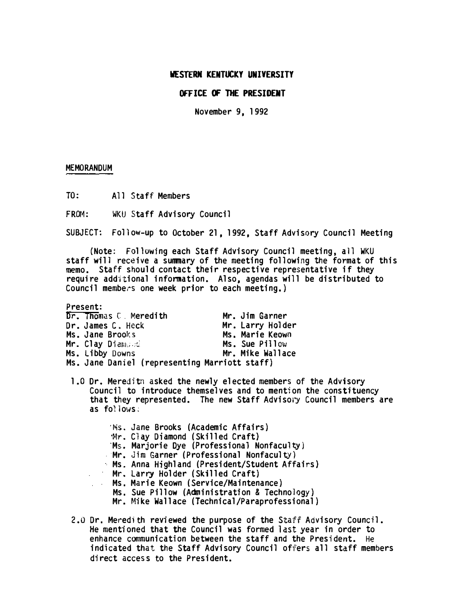## WESTERN KENTUCKY UNIVERSITY

# OFFICE OF THE PRESIDENT

November 9, 1992

#### MEMORANDUM

TO: All Staff Members

FROM: WKU Staff Advisory Council

SUBJECT: Follow-up to October 21,1992, Staff Advisory Council Meeting

(Note: Following each Staff Advisory Council meeting, all WKU staff will receive a summary of the meeting following the format of this memo. Staff should contact their respective representative if they require additional information. Also, agendas will be distributed to Council members one week prior to each meeting.)

Present:

| Dr. Thomas C. Meredith                        | Mr. Jim Garner   |
|-----------------------------------------------|------------------|
| Dr. James C, Heck                             | Mr. Larry Holder |
| Ms. Jane Brooks                               | Ms. Marie Keown  |
| Mr. Clay Diamond                              | Ms. Sue Pillow   |
| Ms. Libby Downs                               | Mr. Mike Wallace |
| Ms. Jane Daniel (representing Marriott staff) |                  |

1.0 Dr. Meredith asked the newly elected members of the Advisory Council to introduce themselves and to mention the constituency that they represented. The new Staff Advisory Council members are as  $fo!{}'$ lows;

'Ms, Jane Brooks (Academic Affairs) '�lr. Clay Diamond (Skilled Craft) 'Ms. Marjorie Dye (Professional Nonfaculty) Mr. Jim Garner (Professional Nonfaculty) Ms. Anna Highland (President/Student Affairs) Mr. Larry Holder (Skilled Craft) Ms. Marie Keown (Service/Maintenance) Ms. Sue Pillow (Administration & Technology) Mr. Mike Wallace (Technical/Paraprofessional)

2.0 Dr. Meredith reviewed the purpose of the Staff Advisory Council. He mentioned that the Council was formed last year in order to enhance communication between the staff and the President. He indicated that the Staff Advisory Council offers all staff members direct access to the President.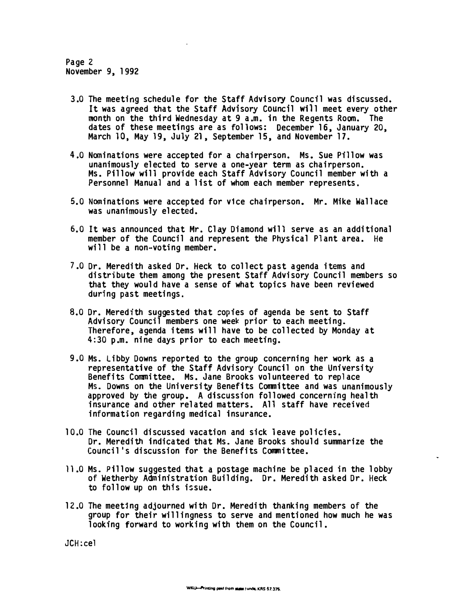Page 2 November 9, 1992

- 3.0 The meeting schedule for the Staff Advisory Council was discussed. It was agreed that the Staff Advisory Council will meet every other month on the third Wednesday at 9 a.m. in the Regents Room. The dates of these meetings are as follows: December 16, January 20, March 10, May 19, July 21, September 15, and November 17.
- 4.0 Nominations were accepted for a chairperson. Ms. Sue Pillow was unanimously elected to serve a one-year term as chairperson. Ms. Pillow will provide each Staff Advisory Council member with a Personnel Manual and a list of whom each member represents.
- 5. 0 Nominations were accepted for v1ce chairperson. Mr. Mike Wallace was unanimously elected.
- 6. 0 It was announced that Mr. Clay Diamond will serve as an additional member of the Council and represent the Physical Plant area. He will be a non-voting member.
- 7.0 Dr. Meredith asked Dr. Heck to collect past agenda items and distribute them among the present Staff Advisory Council members so that they would have a sense of what topicS have been reviewed during past meetings.
- 8.0 Dr. Meredith suggested that copies of agenda be sent to Staff Advisory Council members one week prior to each meeting. Therefore, agenda items will have to be collected by Monday at 4:30 p.m. nine days prior to each meeting.
- 9.0 Ms. Libby Downs reported to the group concerning her work as a representative of the Staff Advisory Council on the University Benefits Committee. Ms. Jane Brooks volunteered to replace Ms. Downs on the University Benefits Committee and was unanimously approved by the group. A discussion followed concerning health insurance and other related matters. All staff have received information regarding medical insurance.
- 10.0 The Council discussed vacation and sick leave policies. Dr. Meredith indicated that Ms. Jane Brooks should summarize the Council's discussion for the Benefits Committee.
- 11.0 Ms. Pillow suggested that a postage machine be placed in the lobby of Wetherby Administration Building. Dr. Meredith asked Dr. Heck to follow up on this issue.
- 12.0 The meeting adjourned with Dr. Meredith thanking members of the group for their willingness to serve and mentioned how much he was looking forward to working with them on the Council.

JCH:cel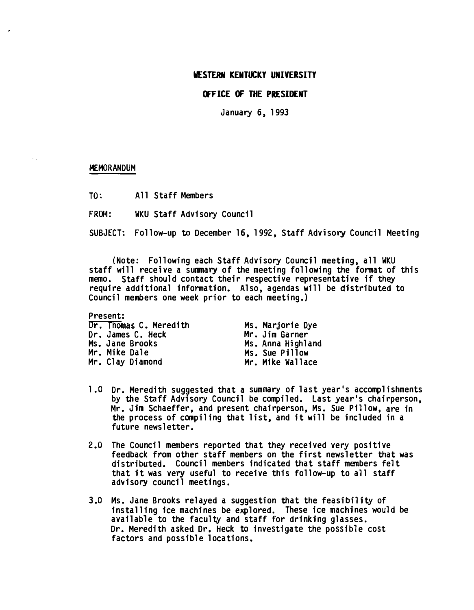### WESTERN KENTUCKY UNIVERSITY

# OFFICE OF THE PRESIDENT

January 6, 1993

### MEMORANDUM

 $\hat{\mathbf{r}}$ 

TO; All Staff Members

FROM: WKU Staff Advisory Council

SUBJECT; Follow-up to December 16, 1992, Staff Advisory Council Meeting

(Note; Following each Staff Advisory Council meeting, all WKU staff will receive a summary of the meeting following the format of this memo. Staff should contact their respective representative if they require additional information. Also, agendas will be distributed to Council members one week prior to each meeting.)

Present: Dr. Thomas C. Meredith Dr. James C. Heck Ms. Jane Brooks Mr. Mike Dale Mr. Clay Diamond

Ms. Marjorie Dye Mr. Jim Garner Ms. Anna Highland Ms. Sue Pillow Mr. Mike Wallace

- 1.0 Dr. Meredith suggested that a summary of last year's accomplishments by the Staff Advisory Council be compiled. Last year's chairperson, Mr. Jim Schaeffer, and present chairperson, Ms. Sue Pillow, are in the process of compiling that list, and it will be included in a future newsletter.
- 2.0 The Council members reported that they received very positive feedback from other staff members on the first newsletter that was distributed. Council members indicated that staff members felt that it was very useful to receive this follow-up to all staff advisory council meetings.
- 3.0 Ms. Jane Brooks relayed a suggestion that the feasibility of installing ice machines be explored. These ice machines would be available to the faculty and staff for drinking glasses. Dr. Meredith asked Dr. Heck to investigate the possible cost factors and possible locations.